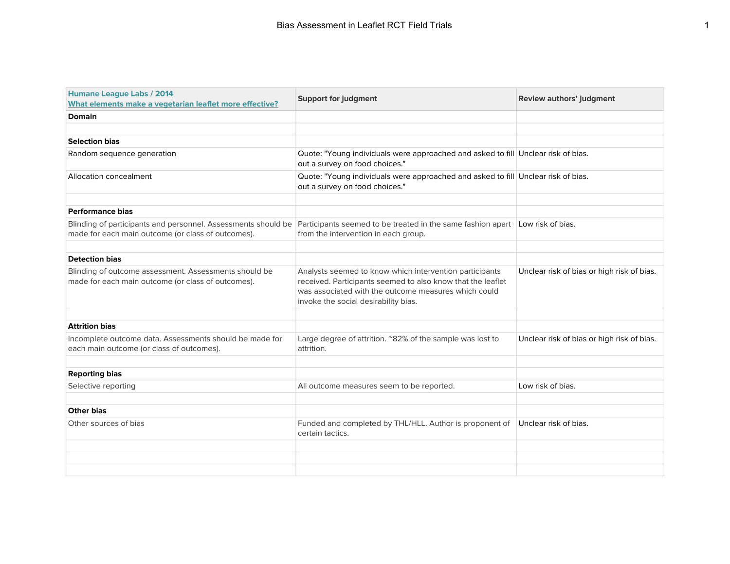| Humane League Labs / 2014<br>What elements make a vegetarian leaflet more effective?                                                                                                              | <b>Support for judgment</b>                                                                                                                                                                                            | Review authors' judgment                   |
|---------------------------------------------------------------------------------------------------------------------------------------------------------------------------------------------------|------------------------------------------------------------------------------------------------------------------------------------------------------------------------------------------------------------------------|--------------------------------------------|
| <b>Domain</b>                                                                                                                                                                                     |                                                                                                                                                                                                                        |                                            |
|                                                                                                                                                                                                   |                                                                                                                                                                                                                        |                                            |
| <b>Selection bias</b>                                                                                                                                                                             |                                                                                                                                                                                                                        |                                            |
| Random sequence generation                                                                                                                                                                        | Quote: "Young individuals were approached and asked to fill Unclear risk of bias.<br>out a survey on food choices."                                                                                                    |                                            |
| Allocation concealment                                                                                                                                                                            | Quote: "Young individuals were approached and asked to fill Unclear risk of bias.<br>out a survey on food choices."                                                                                                    |                                            |
|                                                                                                                                                                                                   |                                                                                                                                                                                                                        |                                            |
| <b>Performance bias</b>                                                                                                                                                                           |                                                                                                                                                                                                                        |                                            |
| Blinding of participants and personnel. Assessments should be Participants seemed to be treated in the same fashion apart Low risk of bias.<br>made for each main outcome (or class of outcomes). | from the intervention in each group.                                                                                                                                                                                   |                                            |
|                                                                                                                                                                                                   |                                                                                                                                                                                                                        |                                            |
| <b>Detection bias</b>                                                                                                                                                                             |                                                                                                                                                                                                                        |                                            |
| Blinding of outcome assessment. Assessments should be<br>made for each main outcome (or class of outcomes).                                                                                       | Analysts seemed to know which intervention participants<br>received. Participants seemed to also know that the leaflet<br>was associated with the outcome measures which could<br>invoke the social desirability bias. | Unclear risk of bias or high risk of bias. |
|                                                                                                                                                                                                   |                                                                                                                                                                                                                        |                                            |
| <b>Attrition bias</b>                                                                                                                                                                             |                                                                                                                                                                                                                        |                                            |
| Incomplete outcome data. Assessments should be made for<br>each main outcome (or class of outcomes).                                                                                              | Large degree of attrition. "82% of the sample was lost to<br>attrition.                                                                                                                                                | Unclear risk of bias or high risk of bias. |
|                                                                                                                                                                                                   |                                                                                                                                                                                                                        |                                            |
| <b>Reporting bias</b>                                                                                                                                                                             |                                                                                                                                                                                                                        |                                            |
| Selective reporting                                                                                                                                                                               | All outcome measures seem to be reported.                                                                                                                                                                              | Low risk of bias.                          |
| <b>Other bias</b>                                                                                                                                                                                 |                                                                                                                                                                                                                        |                                            |
|                                                                                                                                                                                                   |                                                                                                                                                                                                                        |                                            |
| Other sources of bias                                                                                                                                                                             | Funded and completed by THL/HLL. Author is proponent of<br>certain tactics.                                                                                                                                            | Unclear risk of bias.                      |
|                                                                                                                                                                                                   |                                                                                                                                                                                                                        |                                            |
|                                                                                                                                                                                                   |                                                                                                                                                                                                                        |                                            |
|                                                                                                                                                                                                   |                                                                                                                                                                                                                        |                                            |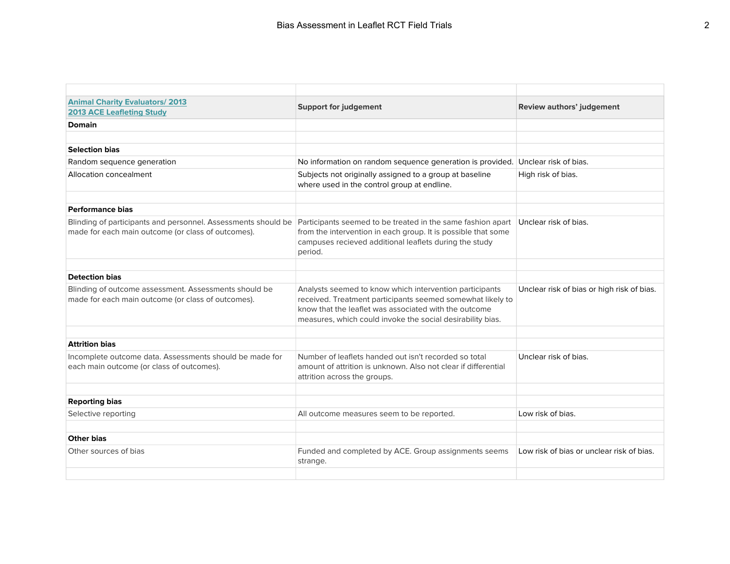| <b>Animal Charity Evaluators/2013</b><br><b>2013 ACE Leafleting Study</b>                                                                                                       | <b>Support for judgement</b>                                                                                                                                                                                                                 | Review authors' judgement                  |
|---------------------------------------------------------------------------------------------------------------------------------------------------------------------------------|----------------------------------------------------------------------------------------------------------------------------------------------------------------------------------------------------------------------------------------------|--------------------------------------------|
| <b>Domain</b>                                                                                                                                                                   |                                                                                                                                                                                                                                              |                                            |
| <b>Selection bias</b>                                                                                                                                                           |                                                                                                                                                                                                                                              |                                            |
| Random sequence generation                                                                                                                                                      | No information on random sequence generation is provided. Unclear risk of bias.                                                                                                                                                              |                                            |
| Allocation concealment                                                                                                                                                          | Subjects not originally assigned to a group at baseline<br>where used in the control group at endline.                                                                                                                                       | High risk of bias.                         |
| <b>Performance bias</b>                                                                                                                                                         |                                                                                                                                                                                                                                              |                                            |
| Blinding of participants and personnel. Assessments should be Participants seemed to be treated in the same fashion apart<br>made for each main outcome (or class of outcomes). | from the intervention in each group. It is possible that some<br>campuses recieved additional leaflets during the study<br>period.                                                                                                           | Unclear risk of bias.                      |
|                                                                                                                                                                                 |                                                                                                                                                                                                                                              |                                            |
| <b>Detection bias</b>                                                                                                                                                           |                                                                                                                                                                                                                                              |                                            |
| Blinding of outcome assessment. Assessments should be<br>made for each main outcome (or class of outcomes).                                                                     | Analysts seemed to know which intervention participants<br>received. Treatment participants seemed somewhat likely to<br>know that the leaflet was associated with the outcome<br>measures, which could invoke the social desirability bias. | Unclear risk of bias or high risk of bias. |
|                                                                                                                                                                                 |                                                                                                                                                                                                                                              |                                            |
| <b>Attrition bias</b>                                                                                                                                                           |                                                                                                                                                                                                                                              |                                            |
| Incomplete outcome data. Assessments should be made for<br>each main outcome (or class of outcomes).                                                                            | Number of leaflets handed out isn't recorded so total<br>amount of attrition is unknown. Also not clear if differential<br>attrition across the groups.                                                                                      | Unclear risk of bias.                      |
| <b>Reporting bias</b>                                                                                                                                                           |                                                                                                                                                                                                                                              |                                            |
| Selective reporting                                                                                                                                                             | All outcome measures seem to be reported.                                                                                                                                                                                                    | Low risk of bias.                          |
|                                                                                                                                                                                 |                                                                                                                                                                                                                                              |                                            |
| <b>Other bias</b>                                                                                                                                                               |                                                                                                                                                                                                                                              |                                            |
| Other sources of bias                                                                                                                                                           | Funded and completed by ACE. Group assignments seems<br>strange.                                                                                                                                                                             | Low risk of bias or unclear risk of bias.  |
|                                                                                                                                                                                 |                                                                                                                                                                                                                                              |                                            |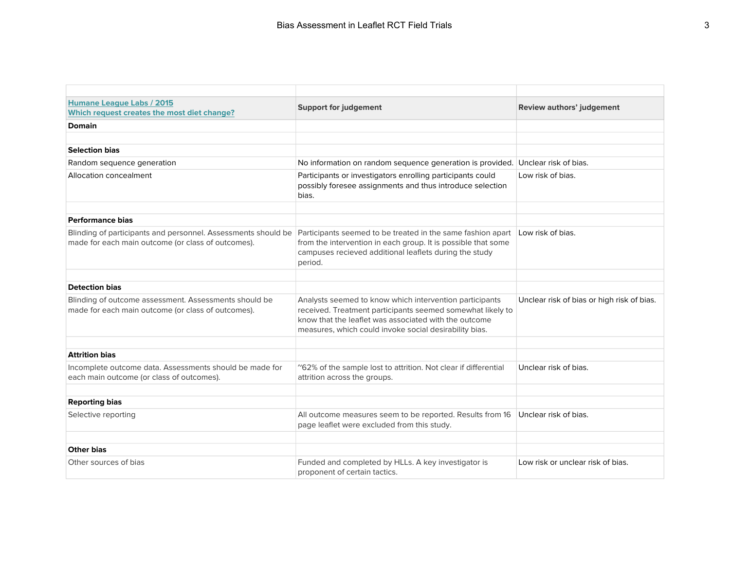| Humane League Labs / 2015<br>Which request creates the most diet change?                                            | <b>Support for judgement</b>                                                                                                                                                                                                             | <b>Review authors' judgement</b>           |
|---------------------------------------------------------------------------------------------------------------------|------------------------------------------------------------------------------------------------------------------------------------------------------------------------------------------------------------------------------------------|--------------------------------------------|
| <b>Domain</b>                                                                                                       |                                                                                                                                                                                                                                          |                                            |
|                                                                                                                     |                                                                                                                                                                                                                                          |                                            |
| <b>Selection bias</b>                                                                                               |                                                                                                                                                                                                                                          |                                            |
| Random sequence generation                                                                                          | No information on random sequence generation is provided. Unclear risk of bias.                                                                                                                                                          |                                            |
| Allocation concealment                                                                                              | Participants or investigators enrolling participants could<br>possibly foresee assignments and thus introduce selection<br>bias.                                                                                                         | Low risk of bias.                          |
| <b>Performance bias</b>                                                                                             |                                                                                                                                                                                                                                          |                                            |
| Blinding of participants and personnel. Assessments should be<br>made for each main outcome (or class of outcomes). | Participants seemed to be treated in the same fashion apart Low risk of bias.<br>from the intervention in each group. It is possible that some<br>campuses recieved additional leaflets during the study<br>period.                      |                                            |
| <b>Detection bias</b>                                                                                               |                                                                                                                                                                                                                                          |                                            |
| Blinding of outcome assessment. Assessments should be<br>made for each main outcome (or class of outcomes).         | Analysts seemed to know which intervention participants<br>received. Treatment participants seemed somewhat likely to<br>know that the leaflet was associated with the outcome<br>measures, which could invoke social desirability bias. | Unclear risk of bias or high risk of bias. |
| <b>Attrition bias</b>                                                                                               |                                                                                                                                                                                                                                          |                                            |
|                                                                                                                     |                                                                                                                                                                                                                                          |                                            |
| Incomplete outcome data. Assessments should be made for<br>each main outcome (or class of outcomes).                | "62% of the sample lost to attrition. Not clear if differential<br>attrition across the groups.                                                                                                                                          | Unclear risk of bias.                      |
| <b>Reporting bias</b>                                                                                               |                                                                                                                                                                                                                                          |                                            |
| Selective reporting                                                                                                 | All outcome measures seem to be reported. Results from 16<br>page leaflet were excluded from this study.                                                                                                                                 | Unclear risk of bias.                      |
|                                                                                                                     |                                                                                                                                                                                                                                          |                                            |
| <b>Other bias</b>                                                                                                   |                                                                                                                                                                                                                                          |                                            |
| Other sources of bias                                                                                               | Funded and completed by HLLs. A key investigator is<br>proponent of certain tactics.                                                                                                                                                     | Low risk or unclear risk of bias.          |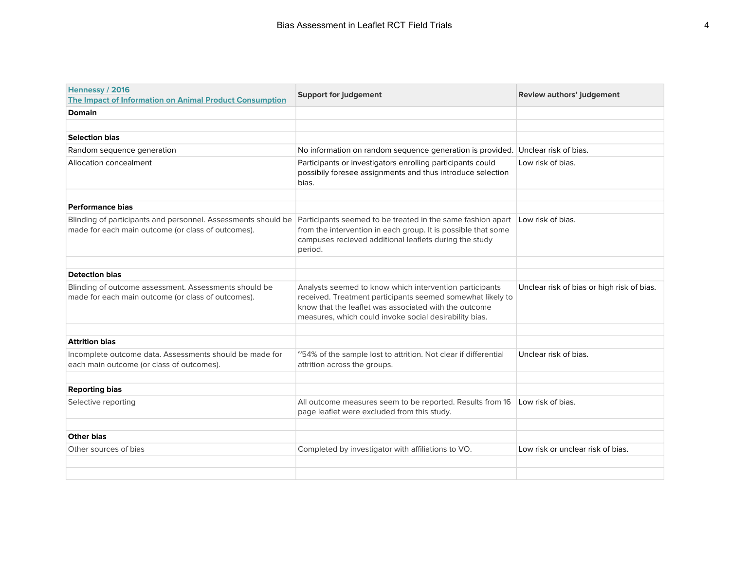| Hennessy / 2016<br>The Impact of Information on Animal Product Consumption                                                                                                                        | <b>Support for judgement</b>                                                                                                                                                                                                             | Review authors' judgement                  |
|---------------------------------------------------------------------------------------------------------------------------------------------------------------------------------------------------|------------------------------------------------------------------------------------------------------------------------------------------------------------------------------------------------------------------------------------------|--------------------------------------------|
| <b>Domain</b>                                                                                                                                                                                     |                                                                                                                                                                                                                                          |                                            |
|                                                                                                                                                                                                   |                                                                                                                                                                                                                                          |                                            |
| <b>Selection bias</b>                                                                                                                                                                             |                                                                                                                                                                                                                                          |                                            |
| Random sequence generation                                                                                                                                                                        | No information on random sequence generation is provided. Unclear risk of bias.                                                                                                                                                          |                                            |
| <b>Allocation concealment</b>                                                                                                                                                                     | Participants or investigators enrolling participants could<br>possibily foresee assignments and thus introduce selection<br>bias.                                                                                                        | Low risk of bias.                          |
| Performance bias                                                                                                                                                                                  |                                                                                                                                                                                                                                          |                                            |
| Blinding of participants and personnel. Assessments should be Participants seemed to be treated in the same fashion apart Low risk of bias.<br>made for each main outcome (or class of outcomes). | from the intervention in each group. It is possible that some<br>campuses recieved additional leaflets during the study<br>period.                                                                                                       |                                            |
| <b>Detection bias</b>                                                                                                                                                                             |                                                                                                                                                                                                                                          |                                            |
|                                                                                                                                                                                                   |                                                                                                                                                                                                                                          |                                            |
| Blinding of outcome assessment. Assessments should be<br>made for each main outcome (or class of outcomes).                                                                                       | Analysts seemed to know which intervention participants<br>received. Treatment participants seemed somewhat likely to<br>know that the leaflet was associated with the outcome<br>measures, which could invoke social desirability bias. | Unclear risk of bias or high risk of bias. |
|                                                                                                                                                                                                   |                                                                                                                                                                                                                                          |                                            |
| <b>Attrition bias</b>                                                                                                                                                                             |                                                                                                                                                                                                                                          |                                            |
| Incomplete outcome data. Assessments should be made for<br>each main outcome (or class of outcomes).                                                                                              | "54% of the sample lost to attrition. Not clear if differential<br>attrition across the groups.                                                                                                                                          | Unclear risk of bias.                      |
|                                                                                                                                                                                                   |                                                                                                                                                                                                                                          |                                            |
| <b>Reporting bias</b>                                                                                                                                                                             |                                                                                                                                                                                                                                          |                                            |
| Selective reporting                                                                                                                                                                               | All outcome measures seem to be reported. Results from 16<br>page leaflet were excluded from this study.                                                                                                                                 | Low risk of bias.                          |
|                                                                                                                                                                                                   |                                                                                                                                                                                                                                          |                                            |
| <b>Other bias</b>                                                                                                                                                                                 |                                                                                                                                                                                                                                          |                                            |
| Other sources of bias                                                                                                                                                                             | Completed by investigator with affiliations to VO.                                                                                                                                                                                       | Low risk or unclear risk of bias.          |
|                                                                                                                                                                                                   |                                                                                                                                                                                                                                          |                                            |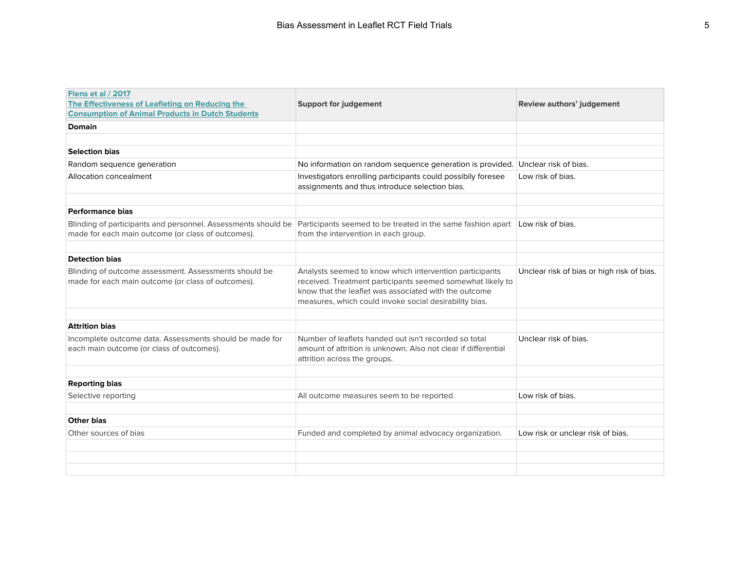| <b>Flens et al / 2017</b><br>The Effectiveness of Leafleting on Reducing the<br><b>Consumption of Animal Products in Dutch Students</b> | <b>Support for judgement</b>                                                                                                                                                                                                             | <b>Review authors' judgement</b>           |
|-----------------------------------------------------------------------------------------------------------------------------------------|------------------------------------------------------------------------------------------------------------------------------------------------------------------------------------------------------------------------------------------|--------------------------------------------|
| <b>Domain</b>                                                                                                                           |                                                                                                                                                                                                                                          |                                            |
|                                                                                                                                         |                                                                                                                                                                                                                                          |                                            |
| <b>Selection bias</b>                                                                                                                   |                                                                                                                                                                                                                                          |                                            |
| Random sequence generation                                                                                                              | No information on random sequence generation is provided. Unclear risk of bias.                                                                                                                                                          |                                            |
| Allocation concealment                                                                                                                  | Investigators enrolling participants could possibily foresee<br>assignments and thus introduce selection bias.                                                                                                                           | Low risk of bias.                          |
|                                                                                                                                         |                                                                                                                                                                                                                                          |                                            |
| <b>Performance bias</b>                                                                                                                 |                                                                                                                                                                                                                                          |                                            |
| Blinding of participants and personnel. Assessments should be<br>made for each main outcome (or class of outcomes).                     | Participants seemed to be treated in the same fashion apart<br>from the intervention in each group.                                                                                                                                      | Low risk of bias.                          |
|                                                                                                                                         |                                                                                                                                                                                                                                          |                                            |
| <b>Detection bias</b>                                                                                                                   |                                                                                                                                                                                                                                          |                                            |
| Blinding of outcome assessment. Assessments should be<br>made for each main outcome (or class of outcomes).                             | Analysts seemed to know which intervention participants<br>received. Treatment participants seemed somewhat likely to<br>know that the leaflet was associated with the outcome<br>measures, which could invoke social desirability bias. | Unclear risk of bias or high risk of bias. |
|                                                                                                                                         |                                                                                                                                                                                                                                          |                                            |
| <b>Attrition bias</b>                                                                                                                   |                                                                                                                                                                                                                                          |                                            |
| Incomplete outcome data. Assessments should be made for<br>each main outcome (or class of outcomes).                                    | Number of leaflets handed out isn't recorded so total<br>amount of attrition is unknown. Also not clear if differential<br>attrition across the groups.                                                                                  | Unclear risk of bias.                      |
|                                                                                                                                         |                                                                                                                                                                                                                                          |                                            |
| <b>Reporting bias</b>                                                                                                                   |                                                                                                                                                                                                                                          |                                            |
| Selective reporting                                                                                                                     | All outcome measures seem to be reported.                                                                                                                                                                                                | Low risk of bias.                          |
| <b>Other bias</b>                                                                                                                       |                                                                                                                                                                                                                                          |                                            |
| Other sources of bias                                                                                                                   |                                                                                                                                                                                                                                          | Low risk or unclear risk of bias.          |
|                                                                                                                                         | Funded and completed by animal advocacy organization.                                                                                                                                                                                    |                                            |
|                                                                                                                                         |                                                                                                                                                                                                                                          |                                            |
|                                                                                                                                         |                                                                                                                                                                                                                                          |                                            |